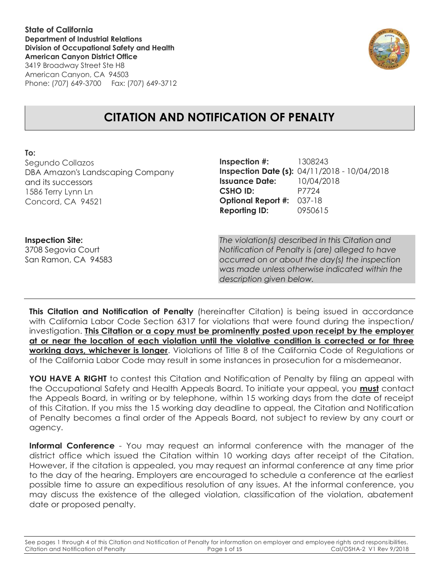**State of California Department of Industrial Relations Division of Occupational Safety and Health American Canyon District Office** 3419 Broadway Street Ste H8 American Canyon, CA 94503 Phone: (707) 649-3700 Fax: (707) 649-3712



# **CITATION AND NOTIFICATION OF PENALTY**

**To:**

Segundo Collazos DBA Amazon's Landscaping Company and its successors 1586 Terry Lynn Ln Concord, CA 94521

**Inspection #:** 1308243 **Inspection Date (s):** 04/11/2018 - 10/04/2018 **Issuance Date:** 10/04/2018 **CSHO ID:** P7724 **Optional Report #:** 037-18 **Reporting ID:** 0950615

**Inspection Site:** 3708 Segovia Court San Ramon, CA 94583 *The violation(s) described in this Citation and Notification of Penalty is (are) alleged to have occurred on or about the day(s) the inspection was made unless otherwise indicated within the description given below.*

**This Citation and Notification of Penalty** (hereinafter Citation) is being issued in accordance with California Labor Code Section 6317 for violations that were found during the inspection/ investigation. **This Citation or a copy must be prominently posted upon receipt by the employer at or near the location of each violation until the violative condition is corrected or for three working days, whichever is longer**. Violations of Title 8 of the California Code of Regulations or of the California Labor Code may result in some instances in prosecution for a misdemeanor.

**YOU HAVE A RIGHT** to contest this Citation and Notification of Penalty by filing an appeal with the Occupational Safety and Health Appeals Board. To initiate your appeal, you **must** contact the Appeals Board, in writing or by telephone, within 15 working days from the date of receipt of this Citation. If you miss the 15 working day deadline to appeal, the Citation and Notification of Penalty becomes a final order of the Appeals Board, not subject to review by any court or agency.

**Informal Conference** - You may request an informal conference with the manager of the district office which issued the Citation within 10 working days after receipt of the Citation. However, if the citation is appealed, you may request an informal conference at any time prior to the day of the hearing. Employers are encouraged to schedule a conference at the earliest possible time to assure an expeditious resolution of any issues. At the informal conference, you may discuss the existence of the alleged violation, classification of the violation, abatement date or proposed penalty.

See pages 1 through 4 of this Citation and Notification of Penalty for information on employer and employee rights and responsibilities. Citation and Notification of Penalty Page 1 of 15 Cal/OSHA-2 V1 Rev 9/2018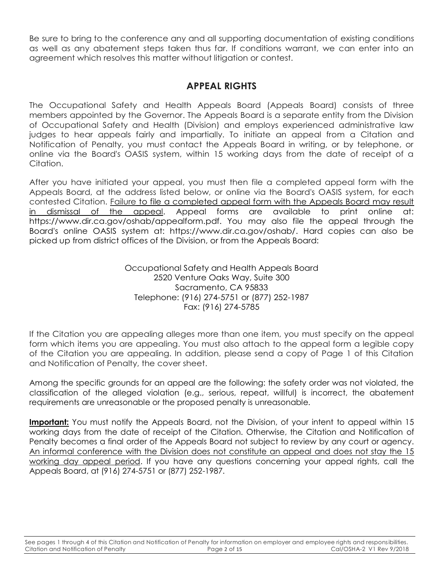Be sure to bring to the conference any and all supporting documentation of existing conditions as well as any abatement steps taken thus far. If conditions warrant, we can enter into an agreement which resolves this matter without litigation or contest.

# **APPEAL RIGHTS**

The Occupational Safety and Health Appeals Board (Appeals Board) consists of three members appointed by the Governor. The Appeals Board is a separate entity from the Division of Occupational Safety and Health (Division) and employs experienced administrative law judges to hear appeals fairly and impartially. To initiate an appeal from a Citation and Notification of Penalty, you must contact the Appeals Board in writing, or by telephone, or online via the Board's OASIS system, within 15 working days from the date of receipt of a Citation.

After you have initiated your appeal, you must then file a completed appeal form with the Appeals Board, at the address listed below, or online via the Board's OASIS system, for each contested Citation. Failure to file a completed appeal form with the Appeals Board may result in dismissal of the appeal. Appeal forms are available to print online at: https://www.dir.ca.gov/oshab/appealform.pdf. You may also file the appeal through the Board's online OASIS system at: https://www.dir.ca.gov/oshab/. Hard copies can also be picked up from district offices of the Division, or from the Appeals Board:

> Occupational Safety and Health Appeals Board 2520 Venture Oaks Way, Suite 300 Sacramento, CA 95833 Telephone: (916) 274-5751 or (877) 252-1987 Fax: (916) 274-5785

If the Citation you are appealing alleges more than one item, you must specify on the appeal form which items you are appealing. You must also attach to the appeal form a legible copy of the Citation you are appealing. In addition, please send a copy of Page 1 of this Citation and Notification of Penalty, the cover sheet.

Among the specific grounds for an appeal are the following: the safety order was not violated, the classification of the alleged violation (e.g., serious, repeat, willful) is incorrect, the abatement requirements are unreasonable or the proposed penalty is unreasonable.

**Important:** You must notify the Appeals Board, not the Division, of your intent to appeal within 15 working days from the date of receipt of the Citation. Otherwise, the Citation and Notification of Penalty becomes a final order of the Appeals Board not subject to review by any court or agency. An informal conference with the Division does not constitute an appeal and does not stay the 15 working day appeal period. If you have any questions concerning your appeal rights, call the Appeals Board, at (916) 274-5751 or (877) 252-1987.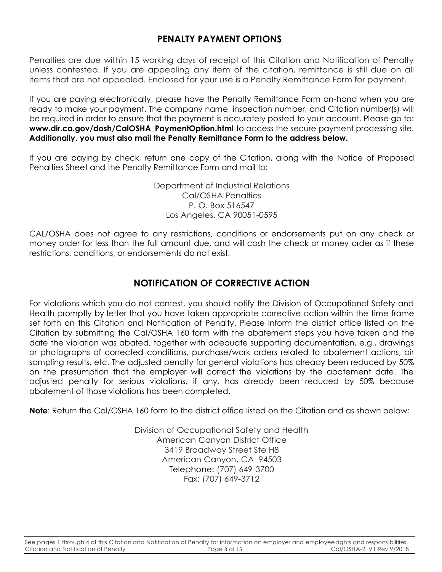# **PENALTY PAYMENT OPTIONS**

Penalties are due within 15 working days of receipt of this Citation and Notification of Penalty unless contested. If you are appealing any item of the citation, remittance is still due on all items that are not appealed. Enclosed for your use is a Penalty Remittance Form for payment.

If you are paying electronically, please have the Penalty Remittance Form on-hand when you are ready to make your payment. The company name, inspection number, and Citation number(s) will be required in order to ensure that the payment is accurately posted to your account. Please go to: **www.dir.ca.gov/dosh/CalOSHA PaymentOption.html** to access the secure payment processing site. **Additionally, you must also mail the Penalty Remittance Form to the address below.**

If you are paying by check, return one copy of the Citation, along with the Notice of Proposed Penalties Sheet and the Penalty Remittance Form and mail to:

> Department of Industrial Relations Cal/OSHA Penalties P. O. Box 516547 Los Angeles, CA 90051-0595

CAL/OSHA does not agree to any restrictions, conditions or endorsements put on any check or money order for less than the full amount due, and will cash the check or money order as if these restrictions, conditions, or endorsements do not exist.

# **NOTIFICATION OF CORRECTIVE ACTION**

For violations which you do not contest, you should notify the Division of Occupational Safety and Health promptly by letter that you have taken appropriate corrective action within the time frame set forth on this Citation and Notification of Penalty. Please inform the district office listed on the Citation by submitting the Cal/OSHA 160 form with the abatement steps you have taken and the date the violation was abated, together with adequate supporting documentation, e.g., drawings or photographs of corrected conditions, purchase/work orders related to abatement actions, air sampling results, etc. The adjusted penalty for general violations has already been reduced by 50% on the presumption that the employer will correct the violations by the abatement date. The adjusted penalty for serious violations, if any, has already been reduced by 50% because abatement of those violations has been completed.

**Note**: Return the Cal/OSHA 160 form to the district office listed on the Citation and as shown below:

Division of Occupational Safety and Health American Canyon District Office 3419 Broadway Street Ste H8 American Canyon, CA 94503 Telephone: (707) 649-3700 Fax: (707) 649-3712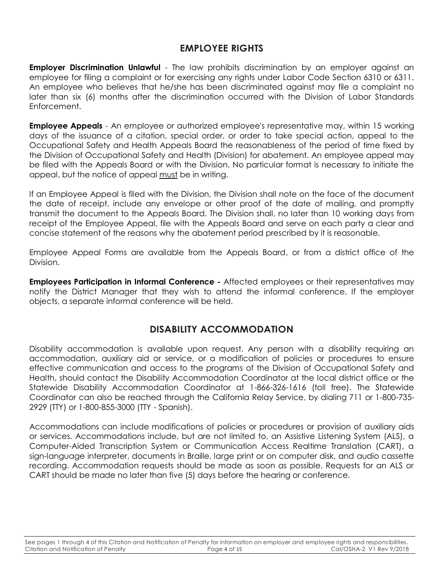## **EMPLOYEE RIGHTS**

**Employer Discrimination Unlawful** - The law prohibits discrimination by an employer against an employee for filing a complaint or for exercising any rights under Labor Code Section 6310 or 6311. An employee who believes that he/she has been discriminated against may file a complaint no later than six (6) months after the discrimination occurred with the Division of Labor Standards Enforcement.

**Employee Appeals** - An employee or authorized employee's representative may, within 15 working days of the issuance of a citation, special order, or order to take special action, appeal to the Occupational Safety and Health Appeals Board the reasonableness of the period of time fixed by the Division of Occupational Safety and Health (Division) for abatement. An employee appeal may be filed with the Appeals Board or with the Division. No particular format is necessary to initiate the appeal, but the notice of appeal must be in writing.

If an Employee Appeal is filed with the Division, the Division shall note on the face of the document the date of receipt, include any envelope or other proof of the date of mailing, and promptly transmit the document to the Appeals Board. The Division shall, no later than 10 working days from receipt of the Employee Appeal, file with the Appeals Board and serve on each party a clear and concise statement of the reasons why the abatement period prescribed by it is reasonable.

Employee Appeal Forms are available from the Appeals Board, or from a district office of the Division.

**Employees Participation in Informal Conference -** Affected employees or their representatives may notify the District Manager that they wish to attend the informal conference. If the employer objects, a separate informal conference will be held.

## **DISABILITY ACCOMMODATION**

Disability accommodation is available upon request. Any person with a disability requiring an accommodation, auxiliary aid or service, or a modification of policies or procedures to ensure effective communication and access to the programs of the Division of Occupational Safety and Health, should contact the Disability Accommodation Coordinator at the local district office or the Statewide Disability Accommodation Coordinator at 1-866-326-1616 (toll free). The Statewide Coordinator can also be reached through the California Relay Service, by dialing 711 or 1-800-735- 2929 (TTY) or 1-800-855-3000 (TTY - Spanish).

Accommodations can include modifications of policies or procedures or provision of auxiliary aids or services. Accommodations include, but are not limited to, an Assistive Listening System (ALS), a Computer-Aided Transcription System or Communication Access Realtime Translation (CART), a sign-language interpreter, documents in Braille, large print or on computer disk, and audio cassette recording. Accommodation requests should be made as soon as possible. Requests for an ALS or CART should be made no later than five (5) days before the hearing or conference.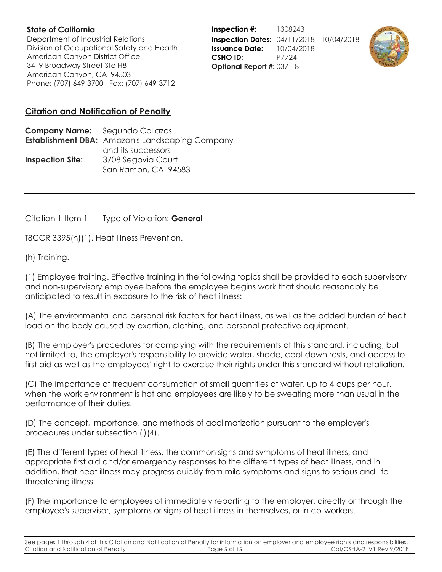Department of Industrial Relations Division of Occupational Safety and Health American Canyon District Office 3419 Broadway Street Ste H8 American Canyon, CA 94503 Phone: (707) 649-3700 Fax: (707) 649-3712

**Inspection #:** 1308243 **Inspection Dates:** 04/11/2018 - 10/04/2018 **Issuance Date:** 10/04/2018 **CSHO ID:** P7724 **Optional Report #:** 037-18



## **Citation and Notification of Penalty**

**Company Name:** Segundo Collazos **Establishment DBA:** Amazon's Landscaping Company and its successors **Inspection Site:** 3708 Segovia Court San Ramon, CA 94583

Citation 1 Item 1 Type of Violation: **General**

T8CCR 3395(h)(1). Heat Illness Prevention.

(h) Training.

(1) Employee training. Effective training in the following topics shall be provided to each supervisory and non-supervisory employee before the employee begins work that should reasonably be anticipated to result in exposure to the risk of heat illness:

(A) The environmental and personal risk factors for heat illness, as well as the added burden of heat load on the body caused by exertion, clothing, and personal protective equipment.

(B) The employer's procedures for complying with the requirements of this standard, including, but not limited to, the employer's responsibility to provide water, shade, cool-down rests, and access to first aid as well as the employees' right to exercise their rights under this standard without retaliation.

(C) The importance of frequent consumption of small quantities of water, up to 4 cups per hour, when the work environment is hot and employees are likely to be sweating more than usual in the performance of their duties.

(D) The concept, importance, and methods of acclimatization pursuant to the employer's procedures under subsection (i)(4).

(E) The different types of heat illness, the common signs and symptoms of heat illness, and appropriate first aid and/or emergency responses to the different types of heat illness, and in addition, that heat illness may progress quickly from mild symptoms and signs to serious and life threatening illness.

(F) The importance to employees of immediately reporting to the employer, directly or through the employee's supervisor, symptoms or signs of heat illness in themselves, or in co-workers.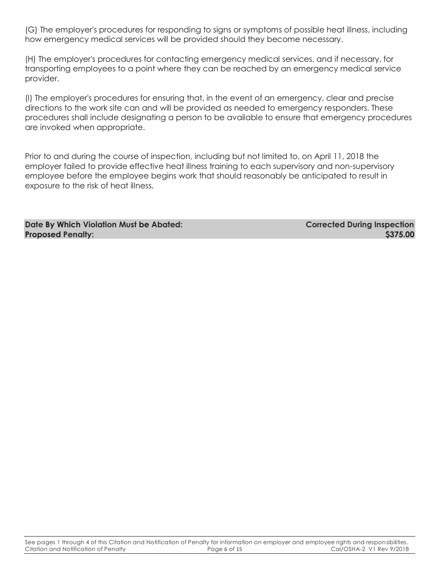(G) The employer's procedures for responding to signs or symptoms of possible heat illness, including how emergency medical services will be provided should they become necessary.

(H) The employer's procedures for contacting emergency medical services, and if necessary, for transporting employees to a point where they can be reached by an emergency medical service provider.

(I) The employer's procedures for ensuring that, in the event of an emergency, clear and precise directions to the work site can and will be provided as needed to emergency responders. These procedures shall include designating a person to be available to ensure that emergency procedures are invoked when appropriate.

Prior to and during the course of inspection, including but not limited to, on April 11, 2018 the employer failed to provide effective heat illness training to each supervisory and non-supervisory employee before the employee begins work that should reasonably be anticipated to result in exposure to the risk of heat illness.

**Date By Which Violation Must be Abated: Corrected During Inspection Proposed Penalty:** \$375.00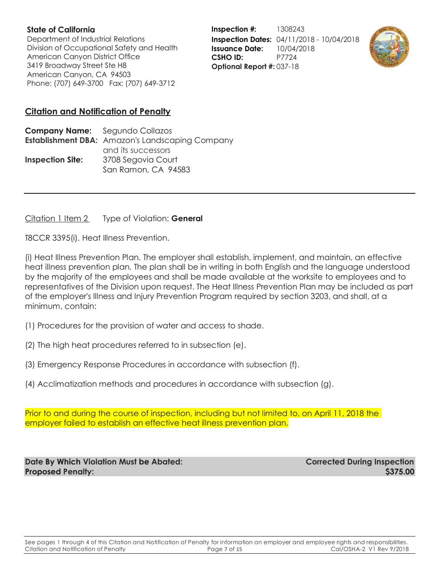Department of Industrial Relations Division of Occupational Safety and Health American Canyon District Office 3419 Broadway Street Ste H8 American Canyon, CA 94503 Phone: (707) 649-3700 Fax: (707) 649-3712

**Inspection #:** 1308243 **Inspection Dates:** 04/11/2018 - 10/04/2018 **Issuance Date:** 10/04/2018 **CSHO ID:** P7724 **Optional Report #:** 037-18



## **Citation and Notification of Penalty**

**Company Name:** Segundo Collazos **Establishment DBA:** Amazon's Landscaping Company and its successors **Inspection Site:** 3708 Segovia Court San Ramon, CA 94583

Citation 1 Item 2 Type of Violation: **General**

T8CCR 3395(i). Heat Illness Prevention.

(i) Heat Illness Prevention Plan. The employer shall establish, implement, and maintain, an effective heat illness prevention plan. The plan shall be in writing in both English and the language understood by the majority of the employees and shall be made available at the worksite to employees and to representatives of the Division upon request. The Heat Illness Prevention Plan may be included as part of the employer's Illness and Injury Prevention Program required by section 3203, and shall, at a minimum, contain:

- (1) Procedures for the provision of water and access to shade.
- (2) The high heat procedures referred to in subsection (e).
- (3) Emergency Response Procedures in accordance with subsection (f).
- (4) Acclimatization methods and procedures in accordance with subsection (g).

Prior to and during the course of inspection, including but not limited to, on April 11, 2018 the employer failed to establish an effective heat illness prevention plan.

**Date By Which Violation Must be Abated: Corrected During Inspection Proposed Penalty: \$375.00 \$375.00**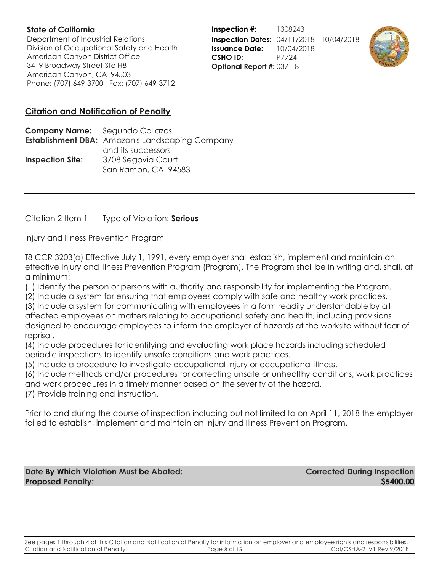Department of Industrial Relations Division of Occupational Safety and Health American Canyon District Office 3419 Broadway Street Ste H8 American Canyon, CA 94503 Phone: (707) 649-3700 Fax: (707) 649-3712

**Inspection #:** 1308243 **Inspection Dates:** 04/11/2018 - 10/04/2018 **Issuance Date:** 10/04/2018 **CSHO ID:** P7724 **Optional Report #:** 037-18



## **Citation and Notification of Penalty**

**Company Name:** Segundo Collazos **Establishment DBA:** Amazon's Landscaping Company and its successors **Inspection Site:** 3708 Segovia Court San Ramon, CA 94583

Citation 2 Item 1 Type of Violation: **Serious**

Injury and Illness Prevention Program

T8 CCR 3203(a) Effective July 1, 1991, every employer shall establish, implement and maintain an effective Injury and Illness Prevention Program (Program). The Program shall be in writing and, shall, at a minimum:

(1) Identify the person or persons with authority and responsibility for implementing the Program.

(2) Include a system for ensuring that employees comply with safe and healthy work practices.

(3) Include a system for communicating with employees in a form readily understandable by all affected employees on matters relating to occupational safety and health, including provisions designed to encourage employees to inform the employer of hazards at the worksite without fear of reprisal.

(4) Include procedures for identifying and evaluating work place hazards including scheduled periodic inspections to identify unsafe conditions and work practices.

(5) Include a procedure to investigate occupational injury or occupational illness.

(6) Include methods and/or procedures for correcting unsafe or unhealthy conditions, work practices and work procedures in a timely manner based on the severity of the hazard.

(7) Provide training and instruction.

Prior to and during the course of inspection including but not limited to on April 11, 2018 the employer failed to establish, implement and maintain an Injury and Illness Prevention Program.

**Date By Which Violation Must be Abated: Corrected During Inspection Proposed Penalty: \$5400.00**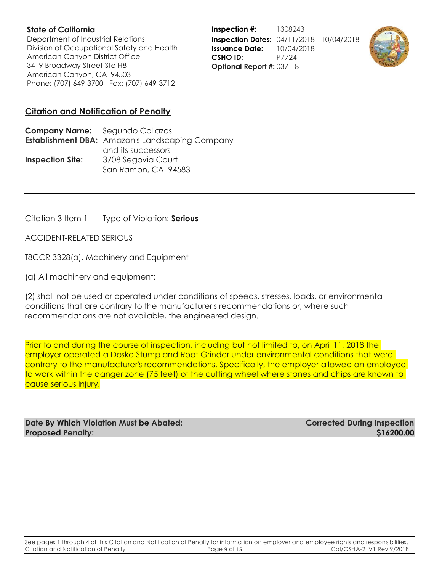Department of Industrial Relations Division of Occupational Safety and Health American Canyon District Office 3419 Broadway Street Ste H8 American Canyon, CA 94503 Phone: (707) 649-3700 Fax: (707) 649-3712

**Inspection #:** 1308243 **Inspection Dates:** 04/11/2018 - 10/04/2018 **Issuance Date:** 10/04/2018 **CSHO ID:** P7724 **Optional Report #:** 037-18



### **Citation and Notification of Penalty**

**Company Name:** Segundo Collazos **Establishment DBA:** Amazon's Landscaping Company and its successors **Inspection Site:** 3708 Segovia Court San Ramon, CA 94583

Citation 3 Item 1 Type of Violation: **Serious**

ACCIDENT-RELATED SERIOUS

T8CCR 3328(a). Machinery and Equipment

(a) All machinery and equipment:

(2) shall not be used or operated under conditions of speeds, stresses, loads, or environmental conditions that are contrary to the manufacturer's recommendations or, where such recommendations are not available, the engineered design.

Prior to and during the course of inspection, including but not limited to, on April 11, 2018 the employer operated a Dosko Stump and Root Grinder under environmental conditions that were contrary to the manufacturer's recommendations. Specifically, the employer allowed an employee to work within the danger zone (75 feet) of the cutting wheel where stones and chips are known to cause serious injury.

**Date By Which Violation Must be Abated: Corrected During Inspection Proposed Penalty: \$16200.00**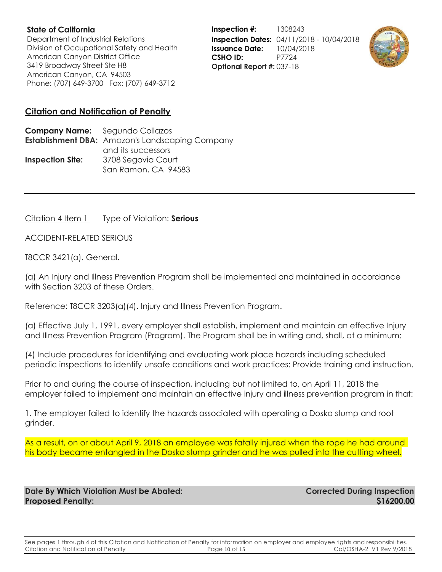Department of Industrial Relations Division of Occupational Safety and Health American Canyon District Office 3419 Broadway Street Ste H8 American Canyon, CA 94503 Phone: (707) 649-3700 Fax: (707) 649-3712

**Inspection #:** 1308243 **Inspection Dates:** 04/11/2018 - 10/04/2018 **Issuance Date:** 10/04/2018 **CSHO ID:** P7724 **Optional Report #:** 037-18



### **Citation and Notification of Penalty**

**Company Name:** Segundo Collazos **Establishment DBA:** Amazon's Landscaping Company and its successors **Inspection Site:** 3708 Segovia Court San Ramon, CA 94583

Citation 4 Item 1 Type of Violation: **Serious**

ACCIDENT-RELATED SERIOUS

T8CCR 3421(a). General.

(a) An Injury and Illness Prevention Program shall be implemented and maintained in accordance with Section 3203 of these Orders.

Reference: T8CCR 3203(a)(4). Injury and Illness Prevention Program.

(a) Effective July 1, 1991, every employer shall establish, implement and maintain an effective Injury and Illness Prevention Program (Program). The Program shall be in writing and, shall, at a minimum:

(4) Include procedures for identifying and evaluating work place hazards including scheduled periodic inspections to identify unsafe conditions and work practices: Provide training and instruction.

Prior to and during the course of inspection, including but not limited to, on April 11, 2018 the employer failed to implement and maintain an effective injury and illness prevention program in that:

1. The employer failed to identify the hazards associated with operating a Dosko stump and root grinder.

As a result, on or about April 9, 2018 an employee was fatally injured when the rope he had around his body became entangled in the Dosko stump grinder and he was pulled into the cutting wheel.

**Date By Which Violation Must be Abated: Corrected During Inspection Proposed Penalty: \$16200.00**

See pages 1 through 4 of this Citation and Notification of Penalty for information on employer and employee rights and responsibilities. Citation and Notification of Penalty Page 10 of 15 Cal/OSHA-2 V1 Rev 9/2018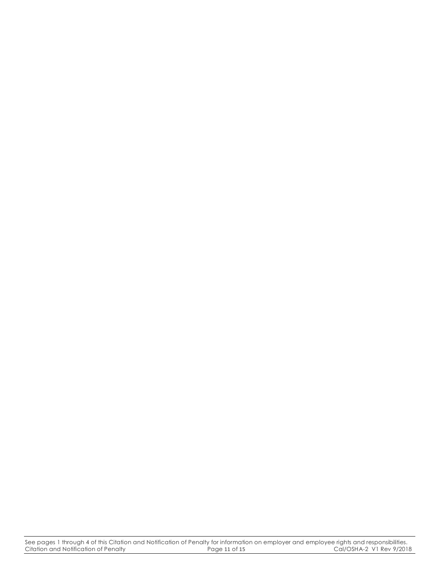See pages 1 through 4 of this Citation and Notification of Penalty for information on employer and employee rights and responsibilities. Citation and Notification of Penalty Page 11 of 15 Cal/OSHA-2 V1 Rev 9/2018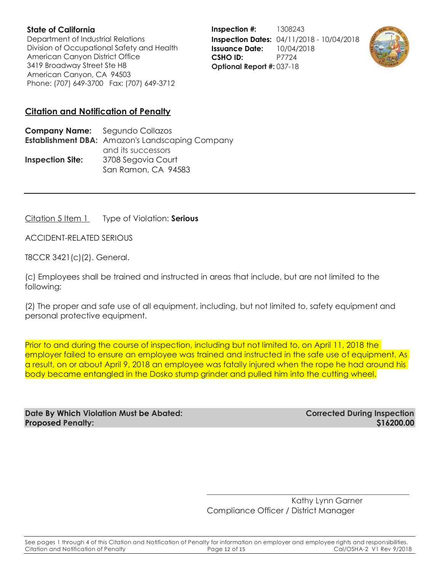Department of Industrial Relations Division of Occupational Safety and Health American Canyon District Office 3419 Broadway Street Ste H8 American Canyon, CA 94503 Phone: (707) 649-3700 Fax: (707) 649-3712

**Inspection #:** 1308243 **Inspection Dates:** 04/11/2018 - 10/04/2018 **Issuance Date:** 10/04/2018 **CSHO ID:** P7724 **Optional Report #:** 037-18



### **Citation and Notification of Penalty**

**Company Name:** Segundo Collazos **Establishment DBA:** Amazon's Landscaping Company and its successors **Inspection Site:** 3708 Segovia Court San Ramon, CA 94583

Citation 5 Item 1 Type of Violation: **Serious**

ACCIDENT-RELATED SERIOUS

T8CCR 3421(c)(2). General.

(c) Employees shall be trained and instructed in areas that include, but are not limited to the following:

(2) The proper and safe use of all equipment, including, but not limited to, safety equipment and personal protective equipment.

Prior to and during the course of inspection, including but not limited to, on April 11, 2018 the employer failed to ensure an employee was trained and instructed in the safe use of equipment. As a result, on or about April 9, 2018 an employee was fatally injured when the rope he had around his body became entangled in the Dosko stump grinder and pulled him into the cutting wheel.

**Date By Which Violation Must be Abated: Corrected During Inspection Proposed Penalty: \$16200.00**

 Kathy Lynn Garner Compliance Officer / District Manager

\_\_\_\_\_\_\_\_\_\_\_\_\_\_\_\_\_\_\_\_\_\_\_\_\_\_\_\_\_\_\_\_\_\_\_\_\_\_\_\_\_\_\_\_\_\_\_\_\_\_\_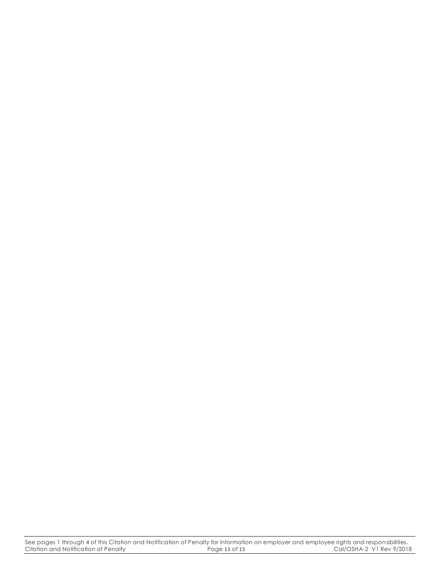See pages 1 through 4 of this Citation and Notification of Penalty for information on employer and employee rights and responsibilities. Citation and Notification of Penalty Page 13 of 15 Cal/OSHA-2 V1 Rev 9/2018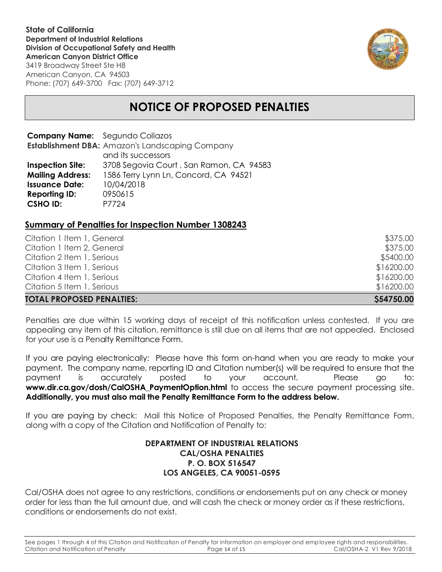Phone: (707) 649-3700 Fax: (707) 649-3712



# **NOTICE OF PROPOSED PENALTIES**

**Company Name:** Segundo Collazos **Establishment DBA:** Amazon's Landscaping Company and its successors **Inspection Site:** 3708 Segovia Court, San Ramon, CA 94583 **Mailing Address:** 1586 Terry Lynn Ln, Concord, CA 94521 **Issuance Date:** 10/04/2018 **Reporting ID:** 0950615 **CSHO ID:** P7724

#### **Summary of Penalties for Inspection Number 1308243**

| <b>TOTAL PROPOSED PENALTIES:</b> | <b>\$54750.00</b> |
|----------------------------------|-------------------|
| Citation 5 Item 1, Serious       | \$16200.00        |
| Citation 4 Item 1, Serious       | \$16200.00        |
| Citation 3 Item 1, Serious       | \$16200.00        |
| Citation 2 Item 1, Serious       | \$5400.00         |
| Citation 1 Item 2, General       | \$375.00          |
| Citation 1 Item 1, General       | \$375.00          |

Penalties are due within 15 working days of receipt of this notification unless contested. If you are appealing any item of this citation, remittance is still due on all items that are not appealed. Enclosed for your use is a Penalty Remittance Form.

If you are paying electronically: Please have this form on-hand when you are ready to make your payment. The company name, reporting ID and Citation number(s) will be required to ensure that the payment is accurately posted to your account. Please go to: **www.dir.ca.gov/dosh/CalOSHA PaymentOption.html** to access the secure payment processing site. **Additionally, you must also mail the Penalty Remittance Form to the address below.**

If you are paying by check: Mail this Notice of Proposed Penalties, the Penalty Remittance Form, along with a copy of the Citation and Notification of Penalty to:

#### **DEPARTMENT OF INDUSTRIAL RELATIONS CAL/OSHA PENALTIES P. O. BOX 516547 LOS ANGELES, CA 90051-0595**

Cal/OSHA does not agree to any restrictions, conditions or endorsements put on any check or money order for less than the full amount due, and will cash the check or money order as if these restrictions, conditions or endorsements do not exist.

See pages 1 through 4 of this Citation and Notification of Penalty for information on employer and employee rights and responsibilities. Citation and Notification of Penalty Page 14 of 15 Cal/OSHA-2 V1 Rev 9/2018